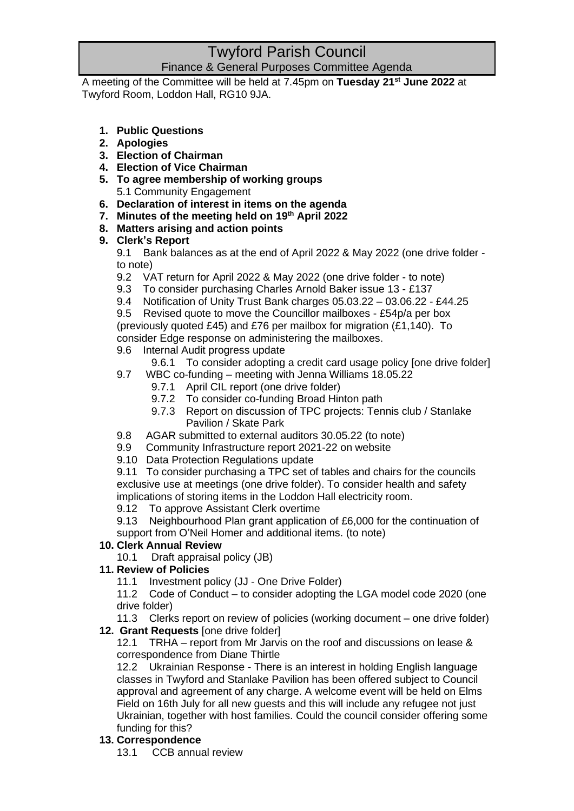# Twyford Parish Council Finance & General Purposes Committee Agenda

A meeting of the Committee will be held at 7.45pm on **Tuesday 21st June 2022** at Twyford Room, Loddon Hall, RG10 9JA.

- **1. Public Questions**
- **2. Apologies**
- **3. Election of Chairman**
- **4. Election of Vice Chairman**
- **5. To agree membership of working groups** 5.1 Community Engagement
- 
- **6. Declaration of interest in items on the agenda**
- **7. Minutes of the meeting held on 19 th April 2022**
- **8. Matters arising and action points**

## **9. Clerk's Report**

9.1 Bank balances as at the end of April 2022 & May 2022 (one drive folder to note)

- 9.2 VAT return for April 2022 & May 2022 (one drive folder to note)
- 9.3 To consider purchasing Charles Arnold Baker issue 13 £137
- 9.4 Notification of Unity Trust Bank charges 05.03.22 03.06.22 £44.25

9.5 Revised quote to move the Councillor mailboxes - £54p/a per box (previously quoted £45) and £76 per mailbox for migration (£1,140). To consider Edge response on administering the mailboxes.

- 9.6 Internal Audit progress update
	- 9.6.1 To consider adopting a credit card usage policy [one drive folder]
- 9.7 WBC co-funding meeting with Jenna Williams 18.05.22
	- 9.7.1 April CIL report (one drive folder)
	- 9.7.2 To consider co-funding Broad Hinton path
	- 9.7.3 Report on discussion of TPC projects: Tennis club / Stanlake Pavilion / Skate Park
- 9.8 AGAR submitted to external auditors 30.05.22 (to note)
- 9.9 Community Infrastructure report 2021-22 on website
- 9.10 Data Protection Regulations update

9.11 To consider purchasing a TPC set of tables and chairs for the councils exclusive use at meetings (one drive folder). To consider health and safety implications of storing items in the Loddon Hall electricity room.

9.12 To approve Assistant Clerk overtime

9.13 Neighbourhood Plan grant application of £6,000 for the continuation of support from O'Neil Homer and additional items. (to note)

## **10. Clerk Annual Review**

10.1 Draft appraisal policy (JB)

## **11. Review of Policies**

11.1 Investment policy (JJ - One Drive Folder)

11.2 Code of Conduct – to consider adopting the LGA model code 2020 (one drive folder)

11.3 Clerks report on review of policies (working document – one drive folder) **12. Grant Requests** [one drive folder]

12.1 TRHA – report from Mr Jarvis on the roof and discussions on lease & correspondence from Diane Thirtle

12.2 Ukrainian Response - There is an interest in holding English language classes in Twyford and Stanlake Pavilion has been offered subject to Council approval and agreement of any charge. A welcome event will be held on Elms Field on 16th July for all new guests and this will include any refugee not just Ukrainian, together with host families. Could the council consider offering some funding for this?

## **13. Correspondence**

13.1 CCB annual review